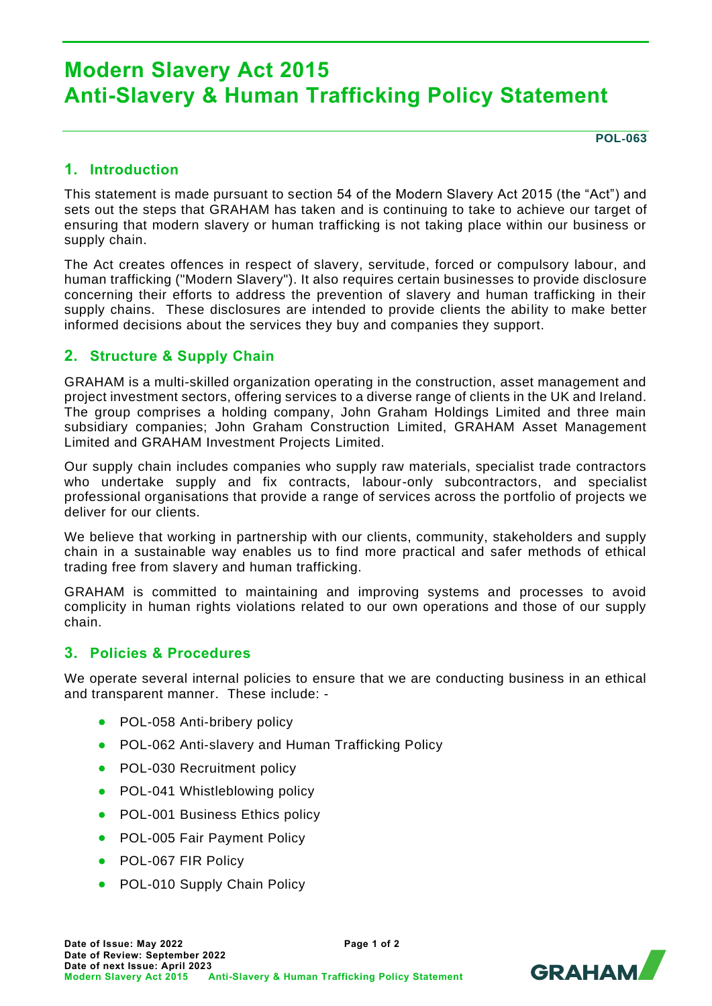# **Modern Slavery Act 2015 Anti-Slavery & Human Trafficking Policy Statement**

**POL**‐**063**

# **1. Introduction**

This statement is made pursuant to section 54 of the Modern Slavery Act 2015 (the "Act") and sets out the steps that GRAHAM has taken and is continuing to take to achieve our target of ensuring that modern slavery or human trafficking is not taking place within our business or supply chain.

The Act creates offences in respect of slavery, servitude, forced or compulsory labour, and human trafficking ("Modern Slavery"). It also requires certain businesses to provide disclosure concerning their efforts to address the prevention of slavery and human trafficking in their supply chains. These disclosures are intended to provide clients the ability to make better informed decisions about the services they buy and companies they support.

# **2. Structure & Supply Chain**

GRAHAM is a multi-skilled organization operating in the construction, asset management and project investment sectors, offering services to a diverse range of clients in the UK and Ireland. The group comprises a holding company, John Graham Holdings Limited and three main subsidiary companies; John Graham Construction Limited, GRAHAM Asset Management Limited and GRAHAM Investment Projects Limited.

Our supply chain includes companies who supply raw materials, specialist trade contractors who undertake supply and fix contracts, labour-only subcontractors, and specialist professional organisations that provide a range of services across the portfolio of projects we deliver for our clients.

We believe that working in partnership with our clients, community, stakeholders and supply chain in a sustainable way enables us to find more practical and safer methods of ethical trading free from slavery and human trafficking.

GRAHAM is committed to maintaining and improving systems and processes to avoid complicity in human rights violations related to our own operations and those of our supply chain.

# **3. Policies & Procedures**

We operate several internal policies to ensure that we are conducting business in an ethical and transparent manner. These include: -

- POL-058 Anti-bribery policy
- POL-062 Anti-slavery and Human Trafficking Policy
- POL-030 Recruitment policy
- POL-041 Whistleblowing policy
- POL-001 Business Ethics policy
- POL-005 Fair Payment Policy
- POL-067 FIR Policy
- POL-010 Supply Chain Policy